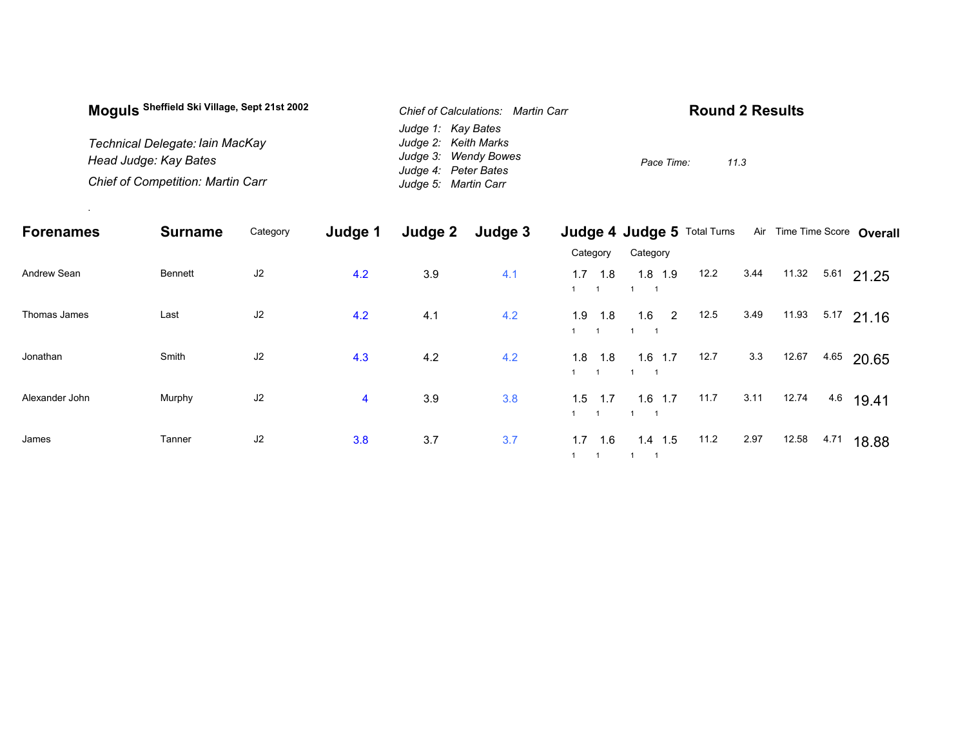| Moguls Sheffield Ski Village, Sept 21st 2002<br>Chief of Calculations: Martin Carr       | <b>Round 2 Results</b> |
|------------------------------------------------------------------------------------------|------------------------|
| Judge 1: Kay Bates                                                                       |                        |
| Judge 2: Keith Marks<br>Technical Delegate: Iain MacKay                                  |                        |
| Judge 3: Wendy Bowes<br>Head Judge: Kay Bates                                            | 11.3<br>Pace Time:     |
| Judge 4: Peter Bates<br><b>Chief of Competition: Martin Carr</b><br>Judge 5: Martin Carr |                        |

.

| <b>Forenames</b> | <b>Surname</b> | Category | Judge 1 | Judge 2 | Judge 3 |                           | Judge 4 Judge 5 Total Turns |      |      |       |      | Air Time Time Score Overall |
|------------------|----------------|----------|---------|---------|---------|---------------------------|-----------------------------|------|------|-------|------|-----------------------------|
|                  |                |          |         |         |         | Category                  | Category                    |      |      |       |      |                             |
| Andrew Sean      | <b>Bennett</b> | J2       | 4.2     | 3.9     | 4.1     | 1.7<br>1.8                | $1.8$ 1.9                   | 12.2 | 3.44 | 11.32 |      | $5.61$ 21.25                |
| Thomas James     | Last           | J2       | 4.2     | 4.1     | 4.2     | 1.9<br>1.8<br>$1 \quad 1$ | 1.6<br>$\overline{2}$       | 12.5 | 3.49 | 11.93 |      | $5.17$ 21.16                |
| Jonathan         | Smith          | J2       | 4.3     | 4.2     | 4.2     | 1.8<br>1.8                | $1.6$ 1.7                   | 12.7 | 3.3  | 12.67 | 4.65 | 20.65                       |
| Alexander John   | Murphy         | $\sf J2$ | 4       | 3.9     | 3.8     | 1.5<br>1.7<br>$1 \quad 1$ | $1.6$ 1.7                   | 11.7 | 3.11 | 12.74 | 4.6  | 19.41                       |
| James            | Tanner         | J2       | 3.8     | 3.7     | 3.7     | 1.7<br>1.6                | $1.4$ 1.5                   | 11.2 | 2.97 | 12.58 | 4.71 | 18.88                       |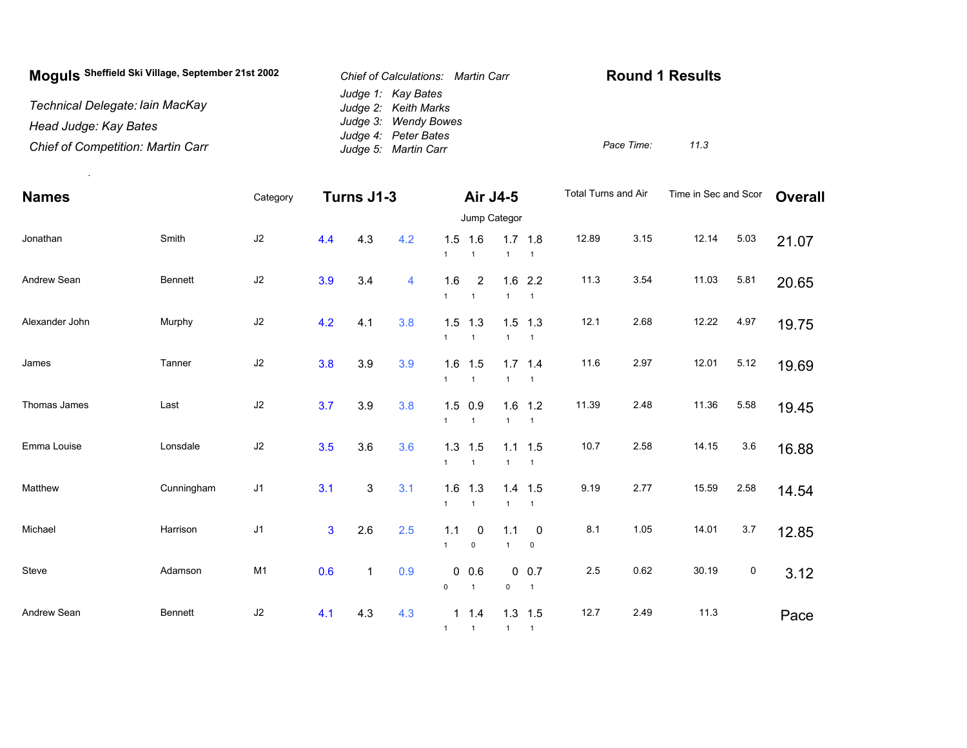| Moguls Sheffield Ski Village, September 21st 2002 | Chief of Calculations: Martin Carr           | <b>Round 1 Results</b> |      |  |
|---------------------------------------------------|----------------------------------------------|------------------------|------|--|
| Technical Delegate: Iain MacKay                   | Judge 1: Kay Bates<br>Judge 2: Keith Marks   |                        |      |  |
| Head Judge: Kay Bates                             | Judge 3: Wendy Bowes                         |                        |      |  |
| <b>Chief of Competition: Martin Carr</b>          | Judge 4: Peter Bates<br>Judge 5: Martin Carr | Pace Time:             | 11.3 |  |

.

| <b>Names</b>   |                | Category       | Turns J1-3     |                           |     | Air J4-5                  |                             |                     |                                        | Total Turns and Air |      | Time in Sec and Scor |           | <b>Overall</b> |  |
|----------------|----------------|----------------|----------------|---------------------------|-----|---------------------------|-----------------------------|---------------------|----------------------------------------|---------------------|------|----------------------|-----------|----------------|--|
|                |                |                |                |                           |     | Jump Categor              |                             |                     |                                        |                     |      |                      |           |                |  |
| Jonathan       | Smith          | J2             | 4.4            | 4.3                       | 4.2 | $\mathbf{1}$              | $1.5$ 1.6<br>$\overline{1}$ | $\mathbf{1}$        | $1.7$ 1.8<br>$\overline{1}$            | 12.89               | 3.15 | 12.14                | 5.03      | 21.07          |  |
| Andrew Sean    | <b>Bennett</b> | $\sf J2$       | 3.9            | 3.4                       | 4   | 1.6<br>$\mathbf{1}$       | 2<br>$\overline{1}$         | $\mathbf{1}$        | $1.6$ 2.2<br>$\overline{1}$            | 11.3                | 3.54 | 11.03                | 5.81      | 20.65          |  |
| Alexander John | Murphy         | $\sf J2$       | 4.2            | 4.1                       | 3.8 | 1.5<br>$\mathbf{1}$       | 1.3<br>$\overline{1}$       | $\mathbf{1}$        | $1.5$ 1.3<br>$\overline{1}$            | 12.1                | 2.68 | 12.22                | 4.97      | 19.75          |  |
| James          | Tanner         | J2             | 3.8            | 3.9                       | 3.9 | 1.6<br>$\mathbf{1}$       | 1.5<br>$\mathbf{1}$         | $\mathbf{1}$        | $1.7$ 1.4<br>$\overline{1}$            | 11.6                | 2.97 | 12.01                | 5.12      | 19.69          |  |
| Thomas James   | Last           | $\sf J2$       | 3.7            | 3.9                       | 3.8 | $1.5$ 0.9<br>$\mathbf{1}$ | $\overline{1}$              | $\mathbf{1}$        | $1.6$ 1.2<br>$\mathbf{1}$              | 11.39               | 2.48 | 11.36                | 5.58      | 19.45          |  |
| Emma Louise    | Lonsdale       | $\sf J2$       | 3.5            | 3.6                       | 3.6 | $1.3$ 1.5<br>$\mathbf{1}$ | $\mathbf{1}$                | $\mathbf{1}$        | $1.1$ 1.5<br>$\overline{1}$            | 10.7                | 2.58 | 14.15                | $3.6\,$   | 16.88          |  |
| Matthew        | Cunningham     | J1             | 3.1            | $\ensuremath{\mathsf{3}}$ | 3.1 | $\mathbf{1}$              | $1.6$ 1.3<br>$\mathbf{1}$   | $\mathbf{1}$        | $1.4$ 1.5<br>$\overline{1}$            | 9.19                | 2.77 | 15.59                | 2.58      | 14.54          |  |
| Michael        | Harrison       | J <sub>1</sub> | $\overline{3}$ | 2.6                       | 2.5 | 1.1<br>$\mathbf{1}$       | 0<br>$\mathsf 0$            | 1.1<br>$\mathbf{1}$ | $\overline{\mathbf{0}}$<br>$\mathsf 0$ | 8.1                 | 1.05 | 14.01                | $3.7\,$   | 12.85          |  |
| Steve          | Adamson        | M1             | 0.6            | $\mathbf{1}$              | 0.9 | 0<br>$\mathsf 0$          | 0.6<br>$\overline{1}$       | $\mathsf{O}\xspace$ | $0 \t 0.7$<br>$\overline{1}$           | 2.5                 | 0.62 | 30.19                | $\pmb{0}$ | 3.12           |  |
| Andrew Sean    | Bennett        | J2             | 4.1            | 4.3                       | 4.3 | $\mathbf{1}$              | $1 \t1.4$<br>$\overline{1}$ | 1                   | $1.3$ 1.5<br>$\overline{1}$            | 12.7                | 2.49 | 11.3                 |           | Pace           |  |